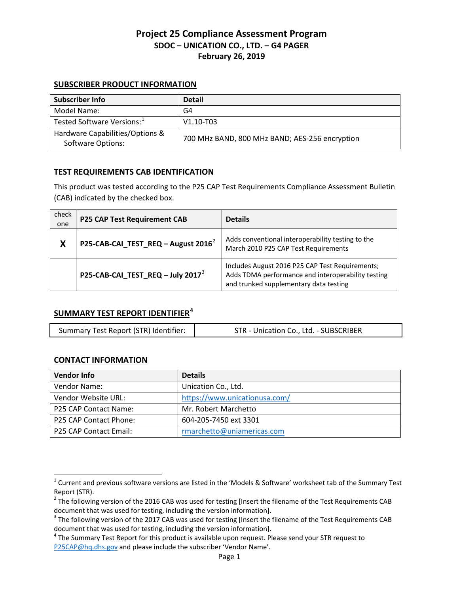## **SUBSCRIBER PRODUCT INFORMATION**

| <b>Subscriber Info</b>                 | <b>Detail</b>                                  |
|----------------------------------------|------------------------------------------------|
| Model Name:                            | G4                                             |
| Tested Software Versions: <sup>1</sup> | $V1.10 - T03$                                  |
| Hardware Capabilities/Options &        | 700 MHz BAND, 800 MHz BAND; AES-256 encryption |
| <b>Software Options:</b>               |                                                |

## **TEST REQUIREMENTS CAB IDENTIFICATION**

This product was tested according to the P25 CAP Test Requirements Compliance Assessment Bulletin (CAB) indicated by the checked box.

| check<br>one | <b>P25 CAP Test Requirement CAB</b>    | <b>Details</b>                                                                                                                                  |
|--------------|----------------------------------------|-------------------------------------------------------------------------------------------------------------------------------------------------|
| X            | P25-CAB-CAI_TEST_REQ - August $2016^2$ | Adds conventional interoperability testing to the<br>March 2010 P25 CAP Test Requirements                                                       |
|              | P25-CAB-CAI_TEST_REQ - July 2017 $3$   | Includes August 2016 P25 CAP Test Requirements;<br>Adds TDMA performance and interoperability testing<br>and trunked supplementary data testing |

# **SUMMARY TEST REPORT IDENTIFIER[4](#page-0-3)**

| Summary Test Report (STR) Identifier: | STR - Unication Co., Ltd. - SUBSCRIBER |
|---------------------------------------|----------------------------------------|
|---------------------------------------|----------------------------------------|

#### **CONTACT INFORMATION**

 $\overline{\phantom{a}}$ 

| <b>Vendor Info</b>     | <b>Details</b>                |
|------------------------|-------------------------------|
| Vendor Name:           | Unication Co., Ltd.           |
| Vendor Website URL:    | https://www.unicationusa.com/ |
| P25 CAP Contact Name:  | Mr. Robert Marchetto          |
| P25 CAP Contact Phone: | 604-205-7450 ext 3301         |
| P25 CAP Contact Email: | rmarchetto@uniamericas.com    |

<span id="page-0-0"></span> $1$  Current and previous software versions are listed in the 'Models & Software' worksheet tab of the Summary Test Report (STR).

<span id="page-0-1"></span> $2$  The following version of the 2016 CAB was used for testing [Insert the filename of the Test Requirements CAB document that was used for testing, including the version information].<br><sup>3</sup> The following version of the 2017 CAB was used for testing [Insert the filename of the Test Requirements CAB

<span id="page-0-2"></span>document that was used for testing, including the version information].<br><sup>4</sup> The Summary Test Report for this product is available upon request. Please send your STR request to

<span id="page-0-3"></span>[P25CAP@hq.dhs.gov](mailto:P25CAP@hq.dhs.gov) and please include the subscriber 'Vendor Name'.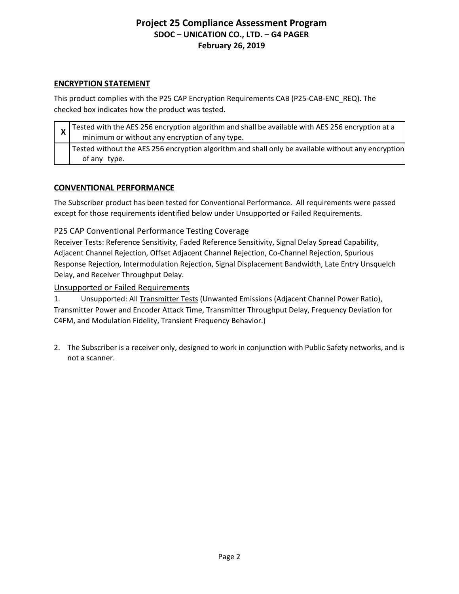# **ENCRYPTION STATEMENT**

This product complies with the P25 CAP Encryption Requirements CAB (P25-CAB-ENC\_REQ). The checked box indicates how the product was tested.

| $\mathbf{\Lambda}$ | $\sigma$ Tested with the AES 256 encryption algorithm and shall be available with AES 256 encryption at a<br>minimum or without any encryption of any type. |
|--------------------|-------------------------------------------------------------------------------------------------------------------------------------------------------------|
|                    | Tested without the AES 256 encryption algorithm and shall only be available without any encryption<br>of any type.                                          |

# **CONVENTIONAL PERFORMANCE**

The Subscriber product has been tested for Conventional Performance. All requirements were passed except for those requirements identified below under Unsupported or Failed Requirements.

# P25 CAP Conventional Performance Testing Coverage

Receiver Tests: Reference Sensitivity, Faded Reference Sensitivity, Signal Delay Spread Capability, Adjacent Channel Rejection, Offset Adjacent Channel Rejection, Co-Channel Rejection, Spurious Response Rejection, Intermodulation Rejection, Signal Displacement Bandwidth, Late Entry Unsquelch Delay, and Receiver Throughput Delay.

## Unsupported or Failed Requirements

1. Unsupported: All Transmitter Tests (Unwanted Emissions (Adjacent Channel Power Ratio), Transmitter Power and Encoder Attack Time, Transmitter Throughput Delay, Frequency Deviation for C4FM, and Modulation Fidelity, Transient Frequency Behavior.)

2. The Subscriber is a receiver only, designed to work in conjunction with Public Safety networks, and is not a scanner.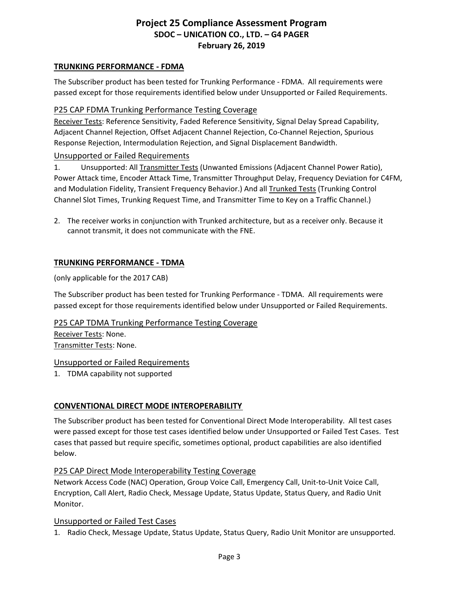#### **TRUNKING PERFORMANCE - FDMA**

The Subscriber product has been tested for Trunking Performance - FDMA. All requirements were passed except for those requirements identified below under Unsupported or Failed Requirements.

## P25 CAP FDMA Trunking Performance Testing Coverage

Receiver Tests: Reference Sensitivity, Faded Reference Sensitivity, Signal Delay Spread Capability, Adjacent Channel Rejection, Offset Adjacent Channel Rejection, Co-Channel Rejection, Spurious Response Rejection, Intermodulation Rejection, and Signal Displacement Bandwidth.

## Unsupported or Failed Requirements

1. Unsupported: All Transmitter Tests (Unwanted Emissions (Adjacent Channel Power Ratio), Power Attack time, Encoder Attack Time, Transmitter Throughput Delay, Frequency Deviation for C4FM, and Modulation Fidelity, Transient Frequency Behavior.) And all Trunked Tests (Trunking Control Channel Slot Times, Trunking Request Time, and Transmitter Time to Key on a Traffic Channel.)

2. The receiver works in conjunction with Trunked architecture, but as a receiver only. Because it cannot transmit, it does not communicate with the FNE.

# **TRUNKING PERFORMANCE - TDMA**

(only applicable for the 2017 CAB)

The Subscriber product has been tested for Trunking Performance - TDMA. All requirements were passed except for those requirements identified below under Unsupported or Failed Requirements.

## P25 CAP TDMA Trunking Performance Testing Coverage

Receiver Tests: None. Transmitter Tests: None.

## Unsupported or Failed Requirements

1. TDMA capability not supported

## **CONVENTIONAL DIRECT MODE INTEROPERABILITY**

The Subscriber product has been tested for Conventional Direct Mode Interoperability. All test cases were passed except for those test cases identified below under Unsupported or Failed Test Cases. Test cases that passed but require specific, sometimes optional, product capabilities are also identified below.

#### P25 CAP Direct Mode Interoperability Testing Coverage

Network Access Code (NAC) Operation, Group Voice Call, Emergency Call, Unit-to-Unit Voice Call, Encryption, Call Alert, Radio Check, Message Update, Status Update, Status Query, and Radio Unit Monitor.

#### Unsupported or Failed Test Cases

1. Radio Check, Message Update, Status Update, Status Query, Radio Unit Monitor are unsupported.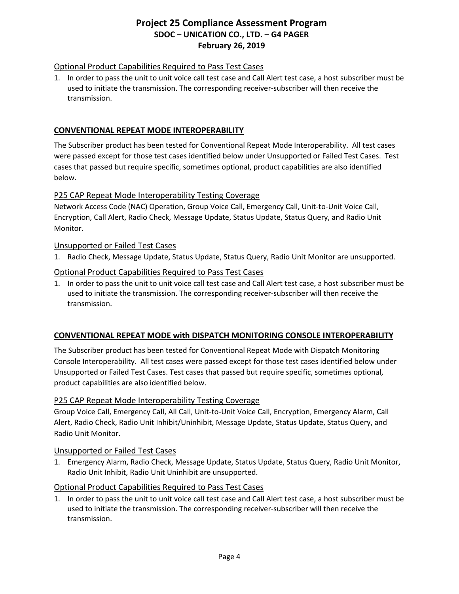## Optional Product Capabilities Required to Pass Test Cases

1. In order to pass the unit to unit voice call test case and Call Alert test case, a host subscriber must be used to initiate the transmission. The corresponding receiver-subscriber will then receive the transmission.

## **CONVENTIONAL REPEAT MODE INTEROPERABILITY**

The Subscriber product has been tested for Conventional Repeat Mode Interoperability. All test cases were passed except for those test cases identified below under Unsupported or Failed Test Cases. Test cases that passed but require specific, sometimes optional, product capabilities are also identified below.

## P25 CAP Repeat Mode Interoperability Testing Coverage

Network Access Code (NAC) Operation, Group Voice Call, Emergency Call, Unit-to-Unit Voice Call, Encryption, Call Alert, Radio Check, Message Update, Status Update, Status Query, and Radio Unit Monitor.

#### Unsupported or Failed Test Cases

1. Radio Check, Message Update, Status Update, Status Query, Radio Unit Monitor are unsupported.

## Optional Product Capabilities Required to Pass Test Cases

1. In order to pass the unit to unit voice call test case and Call Alert test case, a host subscriber must be used to initiate the transmission. The corresponding receiver-subscriber will then receive the transmission.

#### **CONVENTIONAL REPEAT MODE with DISPATCH MONITORING CONSOLE INTEROPERABILITY**

The Subscriber product has been tested for Conventional Repeat Mode with Dispatch Monitoring Console Interoperability. All test cases were passed except for those test cases identified below under Unsupported or Failed Test Cases. Test cases that passed but require specific, sometimes optional, product capabilities are also identified below.

#### P25 CAP Repeat Mode Interoperability Testing Coverage

Group Voice Call, Emergency Call, All Call, Unit-to-Unit Voice Call, Encryption, Emergency Alarm, Call Alert, Radio Check, Radio Unit Inhibit/Uninhibit, Message Update, Status Update, Status Query, and Radio Unit Monitor.

#### Unsupported or Failed Test Cases

1. Emergency Alarm, Radio Check, Message Update, Status Update, Status Query, Radio Unit Monitor, Radio Unit Inhibit, Radio Unit Uninhibit are unsupported.

#### Optional Product Capabilities Required to Pass Test Cases

1. In order to pass the unit to unit voice call test case and Call Alert test case, a host subscriber must be used to initiate the transmission. The corresponding receiver-subscriber will then receive the transmission.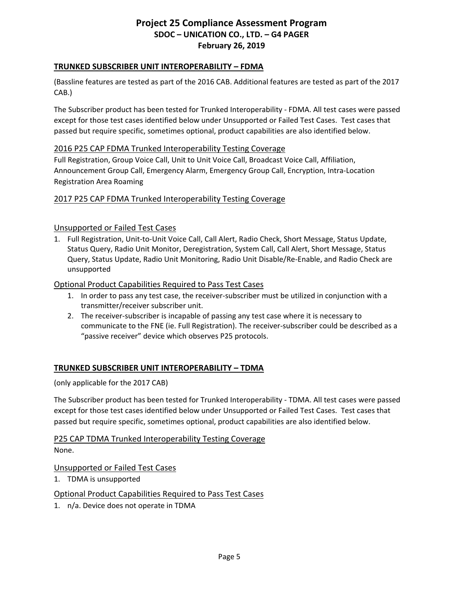## **TRUNKED SUBSCRIBER UNIT INTEROPERABILITY – FDMA**

(Bassline features are tested as part of the 2016 CAB. Additional features are tested as part of the 2017 CAB.)

The Subscriber product has been tested for Trunked Interoperability - FDMA. All test cases were passed except for those test cases identified below under Unsupported or Failed Test Cases. Test cases that passed but require specific, sometimes optional, product capabilities are also identified below.

## 2016 P25 CAP FDMA Trunked Interoperability Testing Coverage

Full Registration, Group Voice Call, Unit to Unit Voice Call, Broadcast Voice Call, Affiliation, Announcement Group Call, Emergency Alarm, Emergency Group Call, Encryption, Intra-Location Registration Area Roaming

## 2017 P25 CAP FDMA Trunked Interoperability Testing Coverage

## Unsupported or Failed Test Cases

1. Full Registration, Unit-to-Unit Voice Call, Call Alert, Radio Check, Short Message, Status Update, Status Query, Radio Unit Monitor, Deregistration, System Call, Call Alert, Short Message, Status Query, Status Update, Radio Unit Monitoring, Radio Unit Disable/Re-Enable, and Radio Check are unsupported

## Optional Product Capabilities Required to Pass Test Cases

- 1. In order to pass any test case, the receiver-subscriber must be utilized in conjunction with a transmitter/receiver subscriber unit.
- 2. The receiver-subscriber is incapable of passing any test case where it is necessary to communicate to the FNE (ie. Full Registration). The receiver-subscriber could be described as a "passive receiver" device which observes P25 protocols.

## **TRUNKED SUBSCRIBER UNIT INTEROPERABILITY – TDMA**

(only applicable for the 2017 CAB)

The Subscriber product has been tested for Trunked Interoperability - TDMA. All test cases were passed except for those test cases identified below under Unsupported or Failed Test Cases. Test cases that passed but require specific, sometimes optional, product capabilities are also identified below.

P25 CAP TDMA Trunked Interoperability Testing Coverage None.

#### Unsupported or Failed Test Cases

1. TDMA is unsupported

## Optional Product Capabilities Required to Pass Test Cases

1. n/a. Device does not operate in TDMA